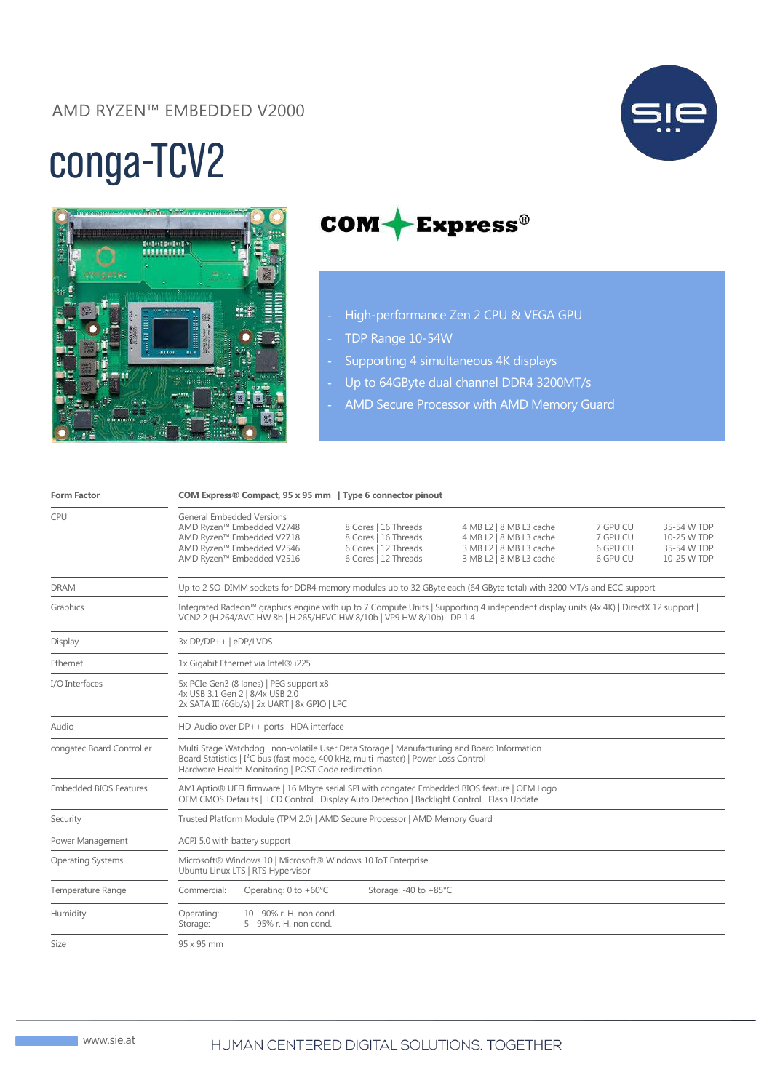## AMD RYZEN™ EMBEDDED V2000



## conga-TCV2





- High-performance Zen 2 CPU & VEGA GPU
- TDP Range 10-54W
- Supporting 4 simultaneous 4K displays
- Up to 64GByte dual channel DDR4 3200MT/s
- AMD Secure Processor with AMD Memory Guard

| <b>Form Factor</b>            | COM Express® Compact, 95 x 95 mm   Type 6 connector pinout                                                                                                                                                                                                                                                                                                                                                                                                                   |  |  |  |
|-------------------------------|------------------------------------------------------------------------------------------------------------------------------------------------------------------------------------------------------------------------------------------------------------------------------------------------------------------------------------------------------------------------------------------------------------------------------------------------------------------------------|--|--|--|
| <b>CPU</b>                    | <b>General Embedded Versions</b><br>AMD Ryzen™ Embedded V2748<br>8 Cores   16 Threads<br>4 MB L2   8 MB L3 cache<br>7 GPU CU<br>35-54 W TDP<br>AMD Ryzen™ Embedded V2718<br>7 GPU CU<br>8 Cores   16 Threads<br>4 MB L2   8 MB L3 cache<br>10-25 W TDP<br>AMD Ryzen™ Embedded V2546<br>6 Cores   12 Threads<br>6 GPU CU<br>3 MB L2   8 MB L3 cache<br>35-54 W TDP<br>AMD Ryzen™ Embedded V2516<br>6 Cores   12 Threads<br>6 GPU CU<br>3 MB L2   8 MB L3 cache<br>10-25 W TDP |  |  |  |
| <b>DRAM</b>                   | Up to 2 SO-DIMM sockets for DDR4 memory modules up to 32 GByte each (64 GByte total) with 3200 MT/s and ECC support                                                                                                                                                                                                                                                                                                                                                          |  |  |  |
| Graphics                      | Integrated Radeon™ graphics engine with up to 7 Compute Units   Supporting 4 independent display units (4x 4K)   DirectX 12 support  <br>VCN2.2 (H.264/AVC HW 8b   H.265/HEVC HW 8/10b   VP9 HW 8/10b)   DP 1.4                                                                                                                                                                                                                                                              |  |  |  |
| Display                       | $3x DP/DP++ eDP/LVDS$                                                                                                                                                                                                                                                                                                                                                                                                                                                        |  |  |  |
| Ethernet                      | 1x Gigabit Ethernet via Intel® i225                                                                                                                                                                                                                                                                                                                                                                                                                                          |  |  |  |
| I/O Interfaces                | 5x PCIe Gen3 (8 lanes)   PEG support x8<br>4x USB 3.1 Gen 2   8/4x USB 2.0<br>2x SATA III (6Gb/s)   2x UART   8x GPIO   LPC                                                                                                                                                                                                                                                                                                                                                  |  |  |  |
| Audio                         | HD-Audio over DP++ ports   HDA interface                                                                                                                                                                                                                                                                                                                                                                                                                                     |  |  |  |
| congatec Board Controller     | Multi Stage Watchdog   non-volatile User Data Storage   Manufacturing and Board Information<br>Board Statistics   I <sup>2</sup> C bus (fast mode, 400 kHz, multi-master)   Power Loss Control<br>Hardware Health Monitoring   POST Code redirection                                                                                                                                                                                                                         |  |  |  |
| <b>Embedded BIOS Features</b> | AMI Aptio® UEFI firmware   16 Mbyte serial SPI with congatec Embedded BIOS feature   OEM Logo<br>OEM CMOS Defaults   LCD Control   Display Auto Detection   Backlight Control   Flash Update                                                                                                                                                                                                                                                                                 |  |  |  |
| Security                      | Trusted Platform Module (TPM 2.0)   AMD Secure Processor   AMD Memory Guard                                                                                                                                                                                                                                                                                                                                                                                                  |  |  |  |
| Power Management              | ACPI 5.0 with battery support                                                                                                                                                                                                                                                                                                                                                                                                                                                |  |  |  |
| <b>Operating Systems</b>      | Microsoft® Windows 10   Microsoft® Windows 10 IoT Enterprise<br>Ubuntu Linux LTS   RTS Hypervisor                                                                                                                                                                                                                                                                                                                                                                            |  |  |  |
| Temperature Range             | Operating: 0 to +60°C<br>Storage: -40 to +85°C<br>Commercial:                                                                                                                                                                                                                                                                                                                                                                                                                |  |  |  |
| Humidity                      | 10 - 90% r. H. non cond.<br>Operating:<br>5 - 95% r. H. non cond.<br>Storage:                                                                                                                                                                                                                                                                                                                                                                                                |  |  |  |
| Size                          | 95 x 95 mm                                                                                                                                                                                                                                                                                                                                                                                                                                                                   |  |  |  |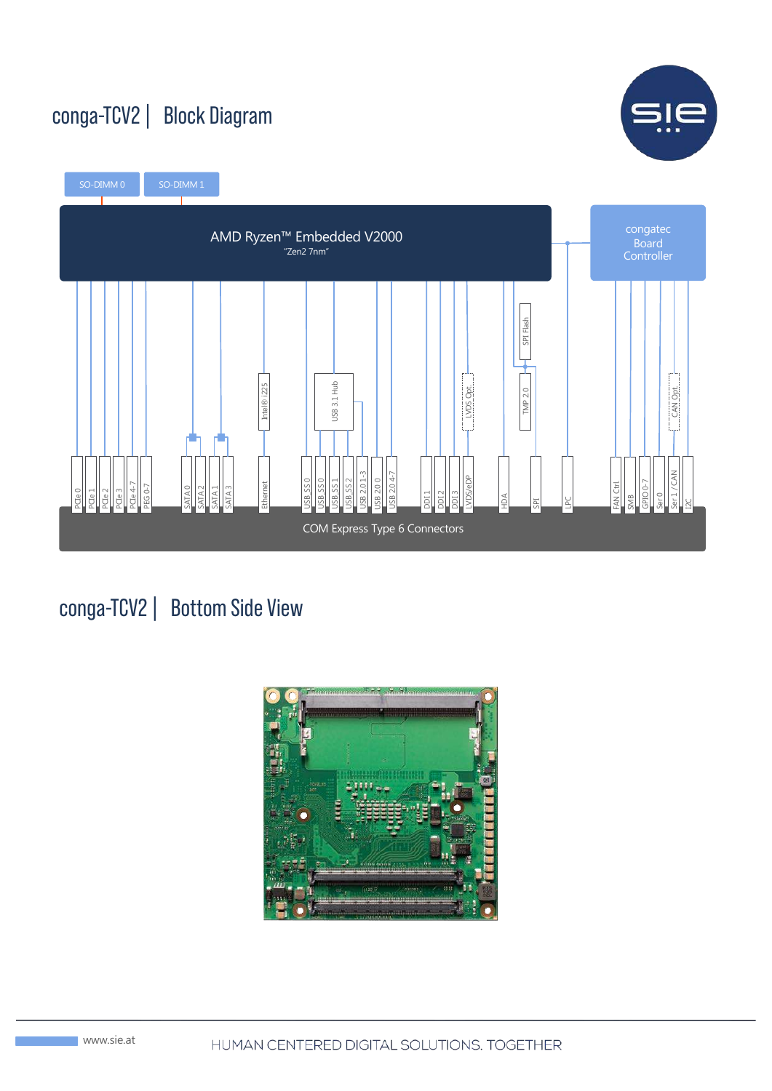## conga-TCV2 | Block Diagram





conga-TCV2 | Bottom Side View